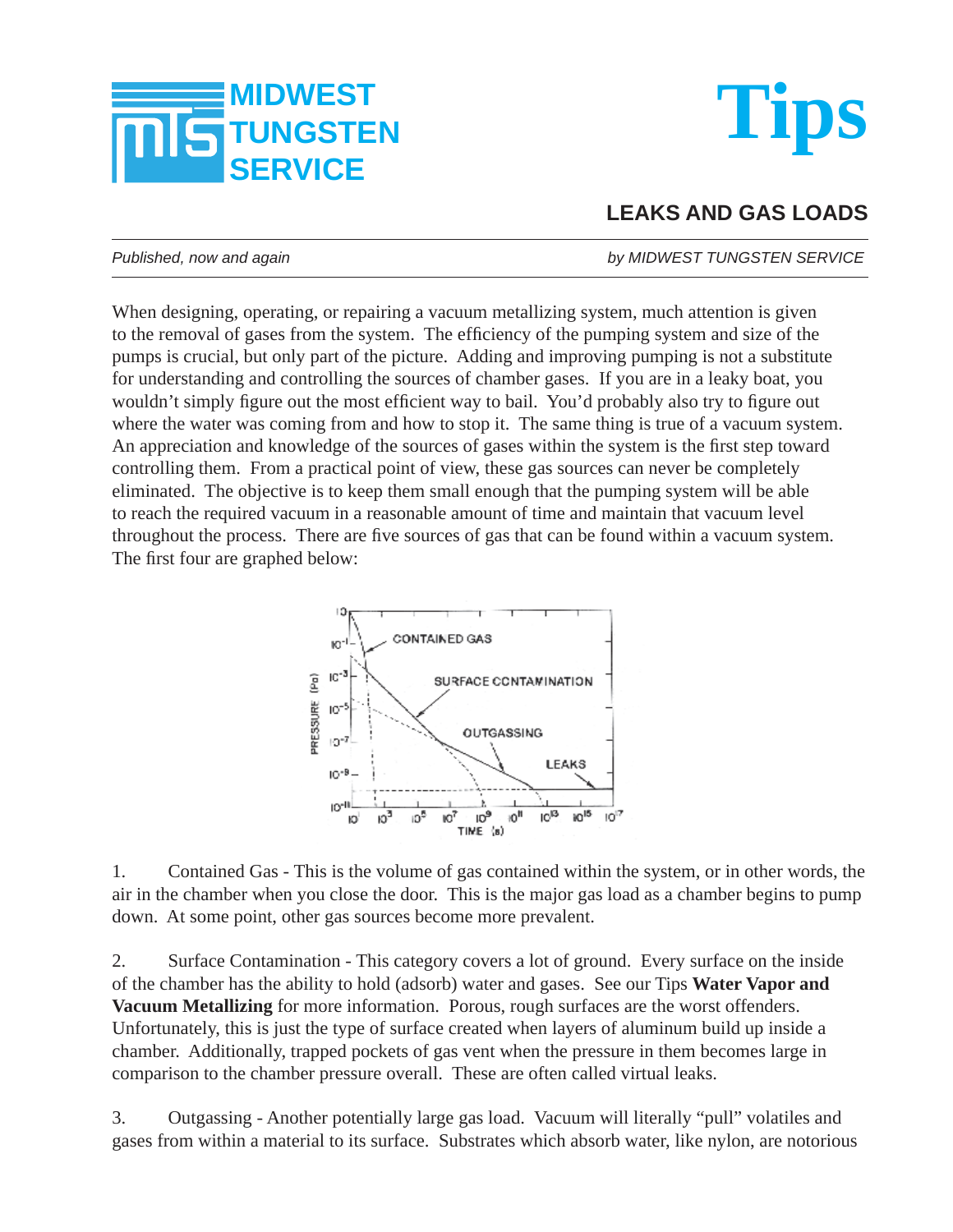



## **LEAKS AND GAS LOADS**

*Published, now and again by MIDWEST TUNGSTEN SERVICE*

When designing, operating, or repairing a vacuum metallizing system, much attention is given to the removal of gases from the system. The efficiency of the pumping system and size of the pumps is crucial, but only part of the picture. Adding and improving pumping is not a substitute for understanding and controlling the sources of chamber gases. If you are in a leaky boat, you wouldn't simply figure out the most efficient way to bail. You'd probably also try to figure out where the water was coming from and how to stop it. The same thing is true of a vacuum system. An appreciation and knowledge of the sources of gases within the system is the first step toward controlling them. From a practical point of view, these gas sources can never be completely eliminated. The objective is to keep them small enough that the pumping system will be able to reach the required vacuum in a reasonable amount of time and maintain that vacuum level throughout the process. There are five sources of gas that can be found within a vacuum system. The first four are graphed below:



1. Contained Gas - This is the volume of gas contained within the system, or in other words, the air in the chamber when you close the door. This is the major gas load as a chamber begins to pump down. At some point, other gas sources become more prevalent.

2. Surface Contamination - This category covers a lot of ground. Every surface on the inside of the chamber has the ability to hold (adsorb) water and gases. See our Tips **Water Vapor and Vacuum Metallizing** for more information. Porous, rough surfaces are the worst offenders. Unfortunately, this is just the type of surface created when layers of aluminum build up inside a chamber. Additionally, trapped pockets of gas vent when the pressure in them becomes large in comparison to the chamber pressure overall. These are often called virtual leaks.

3. Outgassing - Another potentially large gas load. Vacuum will literally "pull" volatiles and gases from within a material to its surface. Substrates which absorb water, like nylon, are notorious